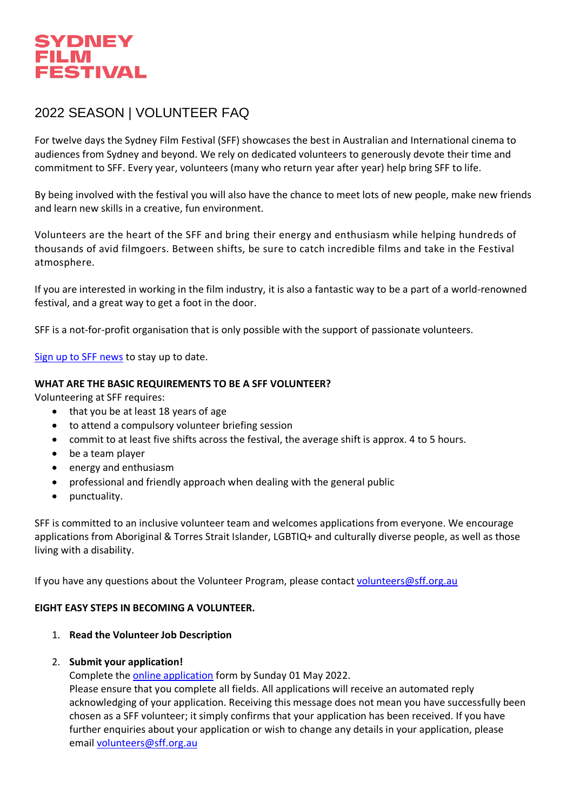

# 2022 SEASON | VOLUNTEER FAQ

For twelve days the Sydney Film Festival (SFF) showcases the best in Australian and International cinema to audiences from Sydney and beyond. We rely on dedicated volunteers to generously devote their time and commitment to SFF. Every year, volunteers (many who return year after year) help bring SFF to life.

By being involved with the festival you will also have the chance to meet lots of new people, make new friends and learn new skills in a creative, fun environment.

Volunteers are the heart of the SFF and bring their energy and enthusiasm while helping hundreds of thousands of avid filmgoers. Between shifts, be sure to catch incredible films and take in the Festival atmosphere.

If you are interested in working in the film industry, it is also a fantastic way to be a part of a world-renowned festival, and a great way to get a foot in the door.

SFF is a not-for-profit organisation that is only possible with the support of passionate volunteers.

[Sign up to SFF news](https://sff.us15.list-manage.com/subscribe?u=e7c715dbcdaa7723c89fb820d&id=abc4e17558) to stay up to date.

### **WHAT ARE THE BASIC REQUIREMENTS TO BE A SFF VOLUNTEER?**

Volunteering at SFF requires:

- that you be at least 18 years of age
- to attend a compulsory volunteer briefing session
- commit to at least five shifts across the festival, the average shift is approx. 4 to 5 hours.
- be a team player
- energy and enthusiasm
- professional and friendly approach when dealing with the general public
- punctuality.

SFF is committed to an inclusive volunteer team and welcomes applications from everyone. We encourage applications from Aboriginal & Torres Strait Islander, LGBTIQ+ and culturally diverse people, as well as those living with a disability.

If you have any questions about the Volunteer Program, please contact [volunteers@sff.org.au](mailto:volunteers@sff.org.au)

### **EIGHT EASY STEPS IN BECOMING A VOLUNTEER.**

1. **Read the Volunteer Job Description**

### 2. **Submit your application!**

Complete the [online application](https://docs.google.com/forms/d/e/1FAIpQLSfwd_2p8dmBPKbdPLqMm-241-theOcVH6vOBWPnNQtrz35nqQ/viewform) form by Sunday 01 May 2022.

Please ensure that you complete all fields. All applications will receive an automated reply acknowledging of your application. Receiving this message does not mean you have successfully been chosen as a SFF volunteer; it simply confirms that your application has been received. If you have further enquiries about your application or wish to change any details in your application, please email [volunteers@sff.org.au](mailto:volunteers@sff.org.au)